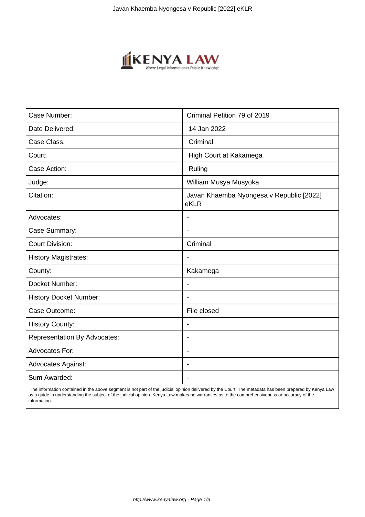

| Case Number:                        | Criminal Petition 79 of 2019                     |
|-------------------------------------|--------------------------------------------------|
| Date Delivered:                     | 14 Jan 2022                                      |
| Case Class:                         | Criminal                                         |
| Court:                              | High Court at Kakamega                           |
| Case Action:                        | Ruling                                           |
| Judge:                              | William Musya Musyoka                            |
| Citation:                           | Javan Khaemba Nyongesa v Republic [2022]<br>eKLR |
| Advocates:                          |                                                  |
| Case Summary:                       |                                                  |
| <b>Court Division:</b>              | Criminal                                         |
| <b>History Magistrates:</b>         | $\blacksquare$                                   |
| County:                             | Kakamega                                         |
| Docket Number:                      |                                                  |
| <b>History Docket Number:</b>       |                                                  |
| Case Outcome:                       | File closed                                      |
| <b>History County:</b>              | $\overline{\phantom{a}}$                         |
| <b>Representation By Advocates:</b> | $\overline{\phantom{a}}$                         |
| Advocates For:                      | $\overline{\phantom{0}}$                         |
| <b>Advocates Against:</b>           |                                                  |
| Sum Awarded:                        |                                                  |

 The information contained in the above segment is not part of the judicial opinion delivered by the Court. The metadata has been prepared by Kenya Law as a guide in understanding the subject of the judicial opinion. Kenya Law makes no warranties as to the comprehensiveness or accuracy of the information.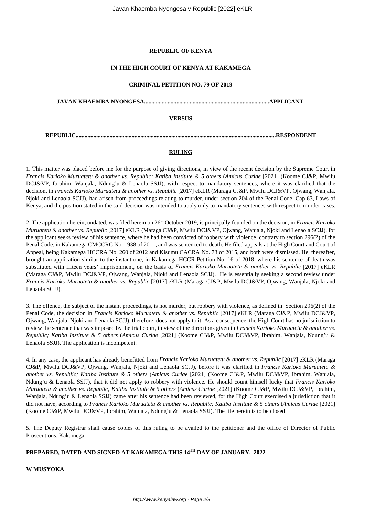# **REPUBLIC OF KENYA**

## **IN THE HIGH COURT OF KENYA AT KAKAMEGA**

#### **CRIMINAL PETITION NO. 79 OF 2019**

**JAVAN KHAEMBA NYONGESA.....................................................................................APPLICANT VERSUS REPUBLIC........................................................................................................................................RESPONDENT**

### **RULING**

1. This matter was placed before me for the purpose of giving directions, in view of the recent decision by the Supreme Court in *Francis Karioko Muruatetu & another vs. Republic; Katiba Institute & 5 others* (*Amicus Curiae* [2021] (Koome CJ&P, Mwilu DCJ&VP, Ibrahim, Wanjala, Ndung'u & Lenaola SSJJ), with respect to mandatory sentences, where it was clarified that the decision, in *Francis Karioko Muruatetu & another vs. Republic* [2017] eKLR (Maraga CJ&P, Mwilu DCJ&VP, Ojwang, Wanjala, Njoki and Lenaola SCJJ), had arisen from proceedings relating to murder, under section 204 of the Penal Code, Cap 63, Laws of Kenya, and the position stated in the said decision was intended to apply only to mandatory sentences with respect to murder cases.

2. The application herein, undated, was filed herein on 26<sup>th</sup> October 2019, is principally founded on the decision, in *Francis Karioko Muruatetu & another vs. Republic* [2017] eKLR (Maraga CJ&P, Mwilu DCJ&VP, Ojwang, Wanjala, Njoki and Lenaola SCJJ), for the applicant seeks review of his sentence, where he had been convicted of robbery with violence, contrary to section 296(2) of the Penal Code, in Kakamega CMCCRC No. 1938 of 2011, and was sentenced to death. He filed appeals at the High Court and Court of Appeal, being Kakamega HCCRA No. 260 of 2012 and Kisumu CACRA No. 73 of 2015, and both were dismissed. He, thereafter, brought an application similar to the instant one, in Kakamega HCCR Petition No. 16 of 2018, where his sentence of death was substituted with fifteen years' imprisonment, on the basis of *Francis Karioko Muruatetu & another vs. Republic* [2017] eKLR (Maraga CJ&P, Mwilu DCJ&VP, Ojwang, Wanjala, Njoki and Lenaola SCJJ). He is essentially seeking a second review under *Francis Karioko Muruatetu & another vs. Republic* [2017] eKLR (Maraga CJ&P, Mwilu DCJ&VP, Ojwang, Wanjala, Njoki and Lenaola SCJJ).

3. The offence, the subject of the instant proceedings, is not murder, but robbery with violence, as defined in Section 296(2) of the Penal Code, the decision in *Francis Karioko Muruatetu & another vs. Republic* [2017] eKLR (Maraga CJ&P, Mwilu DCJ&VP, Ojwang, Wanjala, Njoki and Lenaola SCJJ), therefore, does not apply to it. As a consequence, the High Court has no jurisdiction to review the sentence that was imposed by the trial court, in view of the directions given in *Francis Karioko Muruatetu & another vs. Republic; Katiba Institute & 5 others* (*Amicus Curiae* [2021] (Koome CJ&P, Mwilu DCJ&VP, Ibrahim, Wanjala, Ndung'u & Lenaola SSJJ). The application is incompetent.

4. In any case, the applicant has already benefitted from *Francis Karioko Muruatetu & another vs. Republic* [2017] eKLR (Maraga CJ&P, Mwilu DCJ&VP, Ojwang, Wanjala, Njoki and Lenaola SCJJ), before it was clarified in *Francis Karioko Muruatetu & another vs. Republic; Katiba Institute & 5 others* (*Amicus Curiae* [2021] (Koome CJ&P, Mwilu DCJ&VP, Ibrahim, Wanjala, Ndung'u & Lenaola SSJJ), that it did not apply to robbery with violence. He should count himself lucky that *Francis Karioko Muruatetu & another vs. Republic; Katiba Institute & 5 others* (*Amicus Curiae* [2021] (Koome CJ&P, Mwilu DCJ&VP, Ibrahim, Wanjala, Ndung'u & Lenaola SSJJ) came after his sentence had been reviewed, for the High Court exercised a jurisdiction that it did not have, according to *Francis Karioko Muruatetu & another vs. Republic; Katiba Institute & 5 others* (*Amicus Curiae* [2021] (Koome CJ&P, Mwilu DCJ&VP, Ibrahim, Wanjala, Ndung'u & Lenaola SSJJ). The file herein is to be closed.

5. The Deputy Registrar shall cause copies of this ruling to be availed to the petitioner and the office of Director of Public Prosecutions, Kakamega.

# **PREPARED, DATED AND SIGNED AT KAKAMEGA THIS 14TH DAY OF JANUARY, 2022**

**W MUSYOKA**